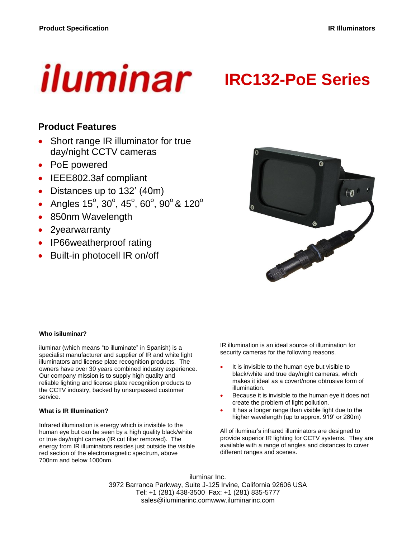# iluminar

# **IRC132-PoE Series**

## **Product Features**

- Short range IR illuminator for true day/night CCTV cameras
- PoE powered
- IEEE802.3af compliant
- Distances up to 132' (40m)
- Angles  $15^{\circ}$ ,  $30^{\circ}$ ,  $45^{\circ}$ ,  $60^{\circ}$ ,  $90^{\circ}$  &  $120^{\circ}$
- 850nm Wavelength
- 2yearwarranty
- IP66weatherproof rating
- Built-in photocell IR on/off



#### **Who isiluminar?**

iluminar (which means "to illuminate" in Spanish) is a specialist manufacturer and supplier of IR and white light illuminators and license plate recognition products. The owners have over 30 years combined industry experience. Our company mission is to supply high quality and reliable lighting and license plate recognition products to the CCTV industry, backed by unsurpassed customer service.

#### **What is IR Illumination?**

Infrared illumination is energy which is invisible to the human eye but can be seen by a high quality black/white or true day/night camera (IR cut filter removed). The energy from IR illuminators resides just outside the visible red section of the electromagnetic spectrum, above 700nm and below 1000nm.

IR illumination is an ideal source of illumination for security cameras for the following reasons.

- It is invisible to the human eye but visible to black/white and true day/night cameras, which makes it ideal as a covert/none obtrusive form of illumination.
- Because it is invisible to the human eye it does not create the problem of light pollution.
- It has a longer range than visible light due to the higher wavelength (up to approx. 919' or 280m)

All of iluminar's infrared illuminators are designed to provide superior IR lighting for CCTV systems. They are available with a range of angles and distances to cover different ranges and scenes.

iluminar Inc. 3972 Barranca Parkway, Suite J-125 Irvine, California 92606 USA Tel: +1 (281) 438-3500 Fax: +1 (281) 835-5777 sales@iluminarinc.comwww.iluminarinc.com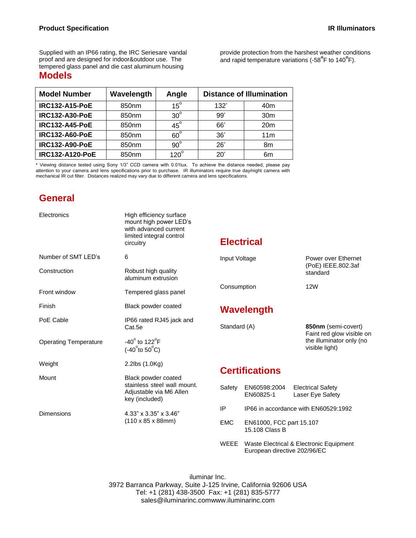Supplied with an IP66 rating, the IRC Seriesare vandal proof and are designed for indoor&outdoor use. The tempered glass panel and die cast aluminum housing **Models**

provide protection from the harshest weather conditions .<br>and rapid temperature variations (-58<sup>°</sup>F to 140<sup>°</sup>F).

| <b>Model Number</b>    | Wavelength | Angle        | <b>Distance of Illumination</b> |                 |  |
|------------------------|------------|--------------|---------------------------------|-----------------|--|
| <b>IRC132-A15-PoE</b>  | 850nm      | $15^\circ$   | 132'                            | 40m             |  |
| <b>IRC132-A30-PoE</b>  | 850nm      | $30^\circ$   | 99'                             | 30 <sub>m</sub> |  |
| <b>IRC132-A45-PoE</b>  | 850nm      | $45^\circ$   | 66'                             | 20 <sub>m</sub> |  |
| <b>IRC132-A60-PoE</b>  | 850nm      | $60^{\circ}$ | 36'                             | 11 <sub>m</sub> |  |
| <b>IRC132-A90-PoE</b>  | 850nm      | $90^{\circ}$ | 26'                             | 8m              |  |
| <b>IRC132-A120-PoE</b> | 850nm      | $120^\circ$  | 20'                             | 6m              |  |

\* Viewing distance tested using Sony 1/3" CCD camera with 0.01lux. To achieve the distance needed, please pay attention to your camera and lens specifications prior to purchase. IR illuminators require true day/night camera with mechanical IR cut filter. Distances realized may vary due to different camera and lens specifications.

### **General**

| Electronics                  | High efficiency surface<br>mount high power LED's<br>with advanced current<br>limited integral control<br>circuitry |                              | <b>Electrical</b>                          |                                                                         |                                                                                                |  |
|------------------------------|---------------------------------------------------------------------------------------------------------------------|------------------------------|--------------------------------------------|-------------------------------------------------------------------------|------------------------------------------------------------------------------------------------|--|
| Number of SMT LED's          | 6                                                                                                                   | Input Voltage<br>Consumption |                                            |                                                                         | Power over Ethernet<br>(PoE) IEEE.802.3af<br>standard                                          |  |
| Construction                 | Robust high quality<br>aluminum extrusion                                                                           |                              |                                            |                                                                         |                                                                                                |  |
| Front window                 | Tempered glass panel                                                                                                |                              |                                            |                                                                         | 12W                                                                                            |  |
| Finish                       | Black powder coated                                                                                                 |                              | Wavelength                                 |                                                                         |                                                                                                |  |
| PoE Cable                    | IP66 rated RJ45 jack and<br>Cat.5e                                                                                  |                              | Standard (A)                               |                                                                         | 850nm (semi-covert)<br>Faint red glow visible on<br>the illuminator only (no<br>visible light) |  |
| <b>Operating Temperature</b> | $-40^{\circ}$ to 122 $^{\circ}$ F<br>$(-40^{\circ}$ to 50 $^{\circ}$ C)                                             |                              |                                            |                                                                         |                                                                                                |  |
| Weight                       | 2.2lbs (1.0Kg)                                                                                                      |                              | <b>Certifications</b>                      |                                                                         |                                                                                                |  |
| Mount                        | Black powder coated                                                                                                 |                              |                                            |                                                                         |                                                                                                |  |
|                              | stainless steel wall mount.<br>Adjustable via M6 Allen<br>key (included)                                            | Safety                       | EN60598:2004<br>EN60825-1                  |                                                                         | <b>Electrical Safety</b><br>Laser Eye Safety                                                   |  |
| <b>Dimensions</b>            | 4.33" x 3.35" x 3.46"<br>$(110 \times 85 \times 88$ mm)                                                             | IP                           | IP66 in accordance with EN60529:1992       |                                                                         |                                                                                                |  |
|                              |                                                                                                                     | <b>EMC</b>                   | EN61000, FCC part 15.107<br>15.108 Class B |                                                                         |                                                                                                |  |
|                              |                                                                                                                     | WEEE                         |                                            | Waste Electrical & Electronic Equipment<br>European directive 202/96/EC |                                                                                                |  |

iluminar Inc. 3972 Barranca Parkway, Suite J-125 Irvine, California 92606 USA Tel: +1 (281) 438-3500 Fax: +1 (281) 835-5777 sales@iluminarinc.comwww.iluminarinc.com